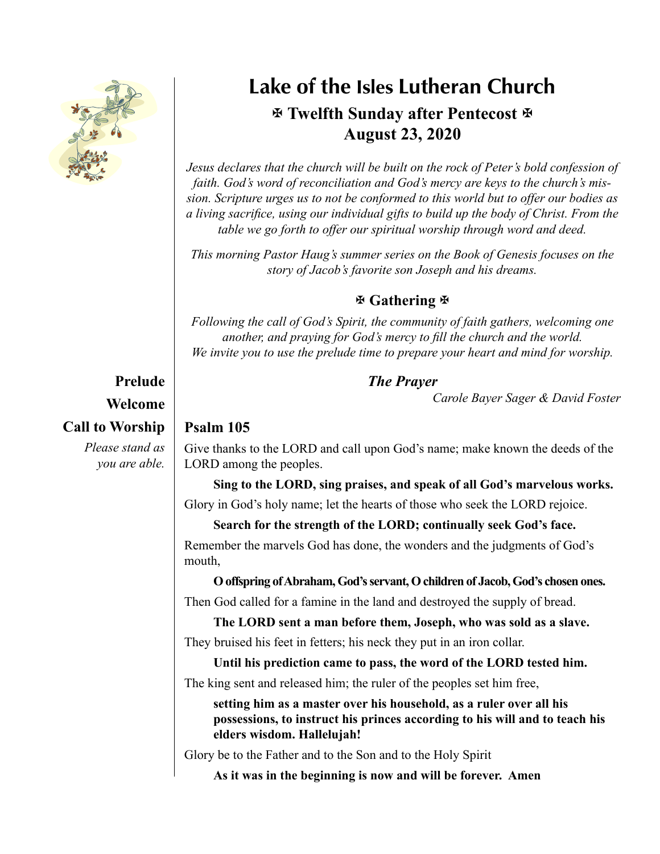

# Lake of the Isles Lutheran Church  **Twelfth Sunday after Pentecost August 23, 2020**

*Jesus declares that the church will be built on the rock of Peter's bold confession of faith. God's word of reconciliation and God's mercy are keys to the church's mission. Scripture urges us to not be conformed to this world but to offer our bodies as a living sacrifice, using our individual gifts to build up the body of Christ. From the table we go forth to offer our spiritual worship through word and deed.*

*This morning Pastor Haug's summer series on the Book of Genesis focuses on the story of Jacob's favorite son Joseph and his dreams.*

## **Gathering**

*Following the call of God's Spirit, the community of faith gathers, welcoming one another, and praying for God's mercy to fill the church and the world. We invite you to use the prelude time to prepare your heart and mind for worship.*

## *The Prayer*

*Carole Bayer Sager & David Foster*

## **Psalm 105**

Give thanks to the LORD and call upon God's name; make known the deeds of the LORD among the peoples.

**Sing to the LORD, sing praises, and speak of all God's marvelous works.**  Glory in God's holy name; let the hearts of those who seek the LORD rejoice.

**Search for the strength of the LORD; continually seek God's face.** 

Remember the marvels God has done, the wonders and the judgments of God's mouth,

**O offspring of Abraham, God's servant, O children of Jacob, God's chosen ones.** 

Then God called for a famine in the land and destroyed the supply of bread.

### **The LORD sent a man before them, Joseph, who was sold as a slave.**

They bruised his feet in fetters; his neck they put in an iron collar.

**Until his prediction came to pass, the word of the LORD tested him.** 

The king sent and released him; the ruler of the peoples set him free,

**setting him as a master over his household, as a ruler over all his possessions, to instruct his princes according to his will and to teach his elders wisdom. Hallelujah!**

Glory be to the Father and to the Son and to the Holy Spirit

**As it was in the beginning is now and will be forever. Amen**

**Prelude Welcome Call to Worship**

> *Please stand as you are able.*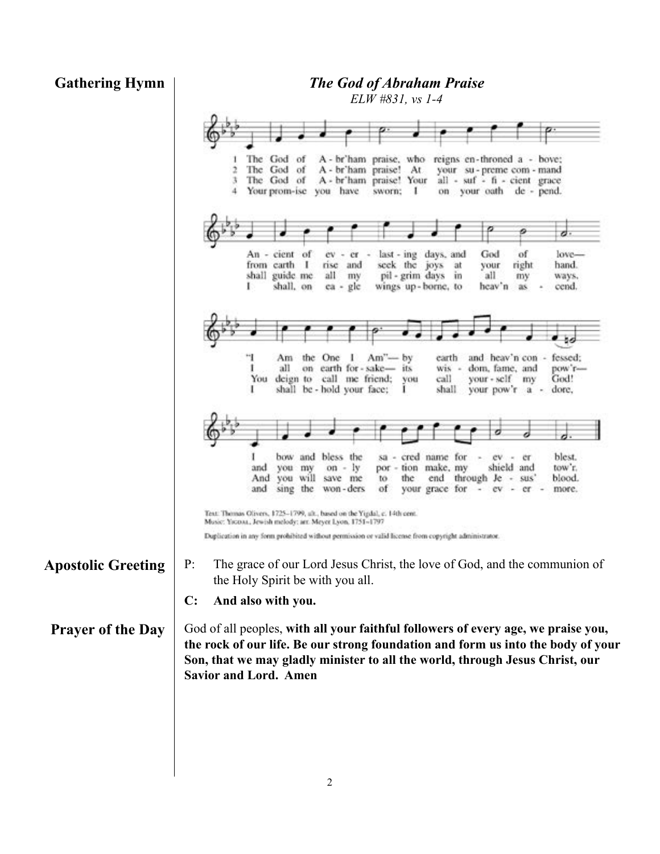#### **Gathering Hymn**

#### *The God of Abraham Praise ELW #831, vs 1-4* The God of A - br'ham praise, who reigns en-throned a - bove: 1  $\overline{2}$ The God of A - br'ham praise! At your su-preme com-mand The God of all - suf - fi - cient grace  $\overline{3}$ A - br'ham praise! Your 4 Your prom-ise you have sworn;  $\overline{1}$ on your oath de - pend. d An - cient of God of loveev - er v last - ing days, and from earth 1 rise and seek the joys at your right hand. shall guide me all my pil - grim days in all ways. my н shall, on ca - gle wings up-borne, to heav'n as cend. ۰, Am the One  $\mathbf{I}$ Am"-- by earth and heav'n confessed: all on earth for - sake-its pow'rdom, fame, and  $W$ is -1 You deign to call me friend; you call your - self my God! ı shall be - hold your face; Ī shall your pow'r a dore,  $\mathbf{I}$ bow and bless the sa - cred name for blest.  $CV - 1$ er shield and and you my  $on - ly$ por - tion make, my tow'r. And you will save me to the end through Je - sus' blood. and sing the won-ders of your grace for  $-CV - CT$ more. Text: Thomas Olivers, 1725-1799, alt., based on the Yigdal, c. 14th cent. Music: YIGOM, Jewish melody: art. Meyer Lyon, 1751-1797 Deplication in any form prohibited without permission or valid license from copyright administrator.

**Apostolic Greeting** P: The grace of our Lord Jesus Christ, the love of God, and the communion of the Holy Spirit be with you all.

#### **C: And also with you.**

**Prayer of the Day**  $\vert$  God of all peoples, with all your faithful followers of every age, we praise you, **the rock of our life. Be our strong foundation and form us into the body of your Son, that we may gladly minister to all the world, through Jesus Christ, our Savior and Lord. Amen**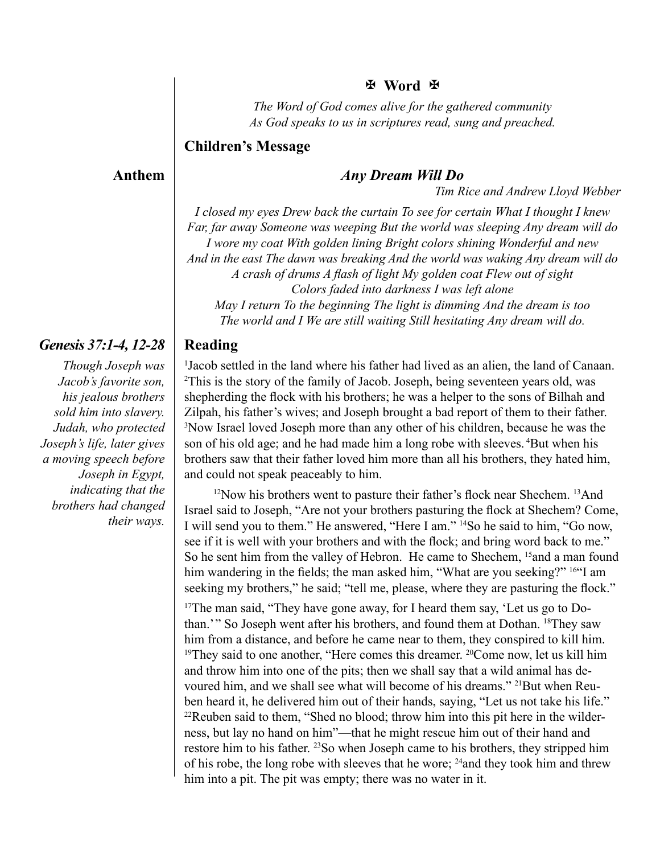#### **Word**

*The Word of God comes alive for the gathered community As God speaks to us in scriptures read, sung and preached.*

#### **Children's Message**

**Anthem**

#### *Any Dream Will Do*

*Tim Rice and Andrew Lloyd Webber*

*I closed my eyes Drew back the curtain To see for certain What I thought I knew Far, far away Someone was weeping But the world was sleeping Any dream will do I wore my coat With golden lining Bright colors shining Wonderful and new And in the east The dawn was breaking And the world was waking Any dream will do A crash of drums A flash of light My golden coat Flew out of sight Colors faded into darkness I was left alone May I return To the beginning The light is dimming And the dream is too The world and I We are still waiting Still hesitating Any dream will do.*

### *Genesis 37:1-4, 12-28*

*Though Joseph was Jacob's favorite son, his jealous brothers sold him into slavery. Judah, who protected Joseph's life, later gives a moving speech before Joseph in Egypt, indicating that the brothers had changed their ways.* 

#### **Reading**

1 Jacob settled in the land where his father had lived as an alien, the land of Canaan. 2 This is the story of the family of Jacob. Joseph, being seventeen years old, was shepherding the flock with his brothers; he was a helper to the sons of Bilhah and Zilpah, his father's wives; and Joseph brought a bad report of them to their father. 3 Now Israel loved Joseph more than any other of his children, because he was the son of his old age; and he had made him a long robe with sleeves. <sup>4</sup>But when his brothers saw that their father loved him more than all his brothers, they hated him, and could not speak peaceably to him.

<sup>12</sup>Now his brothers went to pasture their father's flock near Shechem. <sup>13</sup>And Israel said to Joseph, "Are not your brothers pasturing the flock at Shechem? Come, I will send you to them." He answered, "Here I am." 14So he said to him, "Go now, see if it is well with your brothers and with the flock; and bring word back to me." So he sent him from the valley of Hebron. He came to Shechem, <sup>15</sup> and a man found him wandering in the fields; the man asked him, "What are you seeking?" <sup>16"</sup>I am seeking my brothers," he said; "tell me, please, where they are pasturing the flock."

<sup>17</sup>The man said, "They have gone away, for I heard them say, 'Let us go to Dothan.'" So Joseph went after his brothers, and found them at Dothan. 18They saw him from a distance, and before he came near to them, they conspired to kill him. <sup>19</sup>They said to one another, "Here comes this dreamer. <sup>20</sup>Come now, let us kill him and throw him into one of the pits; then we shall say that a wild animal has devoured him, and we shall see what will become of his dreams." 21But when Reuben heard it, he delivered him out of their hands, saying, "Let us not take his life." <sup>22</sup>Reuben said to them, "Shed no blood; throw him into this pit here in the wilderness, but lay no hand on him"—that he might rescue him out of their hand and restore him to his father. 23So when Joseph came to his brothers, they stripped him of his robe, the long robe with sleeves that he wore;  $^{24}$  and they took him and threw him into a pit. The pit was empty; there was no water in it.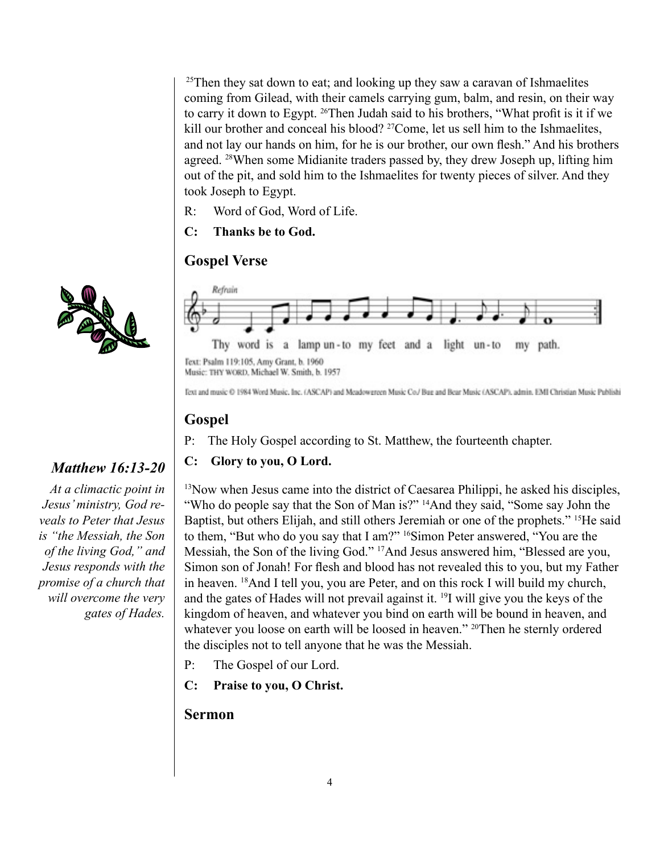<sup>25</sup>Then they sat down to eat; and looking up they saw a caravan of Ishmaelites coming from Gilead, with their camels carrying gum, balm, and resin, on their way to carry it down to Egypt. <sup>26</sup>Then Judah said to his brothers, "What profit is it if we kill our brother and conceal his blood? <sup>27</sup>Come, let us sell him to the Ishmaelites, and not lay our hands on him, for he is our brother, our own flesh." And his brothers agreed. 28When some Midianite traders passed by, they drew Joseph up, lifting him out of the pit, and sold him to the Ishmaelites for twenty pieces of silver. And they took Joseph to Egypt.

- R: Word of God, Word of Life.
- **C: Thanks be to God.**

## **Gospel Verse**



Text: Psalm 119:105, Amy Grant, b. 1960

Music: THY WORD, Michael W. Smith, b. 1957

Text and music @ 1984 Word Music. Inc. (ASCAP) and Meadowgreen Music Co./ Bug and Bear Music (ASCAP), admin. EMI Christian Music Publishi

## **Gospel**

P: The Holy Gospel according to St. Matthew, the fourteenth chapter.

### **C: Glory to you, O Lord.**

13Now when Jesus came into the district of Caesarea Philippi, he asked his disciples, "Who do people say that the Son of Man is?" <sup>14</sup>And they said, "Some say John the Baptist, but others Elijah, and still others Jeremiah or one of the prophets." <sup>15</sup>He said to them, "But who do you say that I am?" 16Simon Peter answered, "You are the Messiah, the Son of the living God." <sup>17</sup>And Jesus answered him, "Blessed are you, Simon son of Jonah! For flesh and blood has not revealed this to you, but my Father in heaven. 18And I tell you, you are Peter, and on this rock I will build my church, and the gates of Hades will not prevail against it. 19I will give you the keys of the kingdom of heaven, and whatever you bind on earth will be bound in heaven, and whatever you loose on earth will be loosed in heaven." <sup>20</sup>Then he sternly ordered the disciples not to tell anyone that he was the Messiah.

- P: The Gospel of our Lord.
- **C: Praise to you, O Christ.**

#### **Sermon**



## *Matthew 16:13-20*

*At a climactic point in Jesus' ministry, God reveals to Peter that Jesus is "the Messiah, the Son of the living God," and Jesus responds with the promise of a church that will overcome the very gates of Hades.*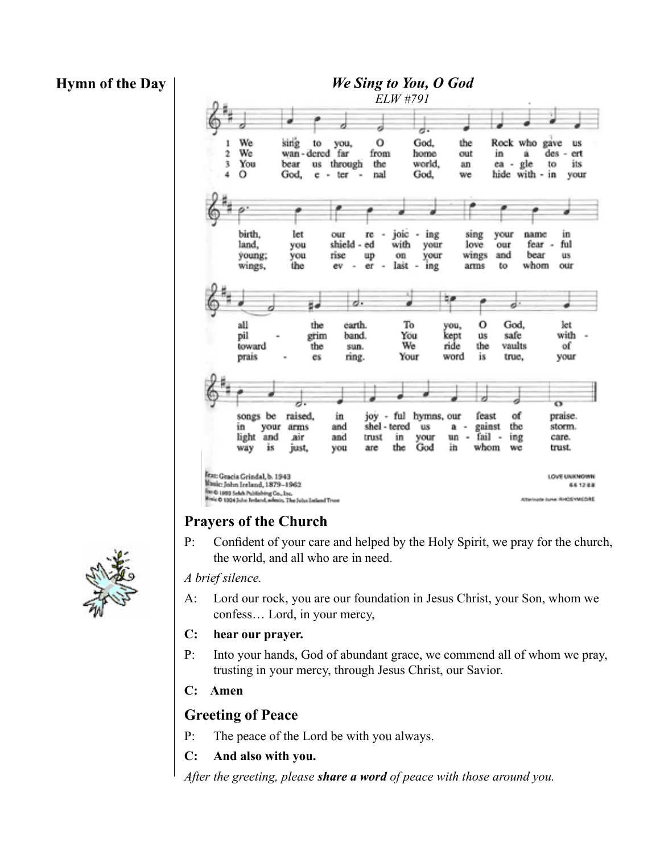### **Hymn of the Day** *We Sing to You, O God*



## **Prayers of the Church**

P: Confident of your care and helped by the Holy Spirit, we pray for the church, the world, and all who are in need.

*A brief silence.*

A: Lord our rock, you are our foundation in Jesus Christ, your Son, whom we confess… Lord, in your mercy,

#### **C: hear our prayer.**

- P: Into your hands, God of abundant grace, we commend all of whom we pray, trusting in your mercy, through Jesus Christ, our Savior.
- **C: Amen**

## **Greeting of Peace**

- P: The peace of the Lord be with you always.
- **C: And also with you.**

*After the greeting, please share a word of peace with those around you.*

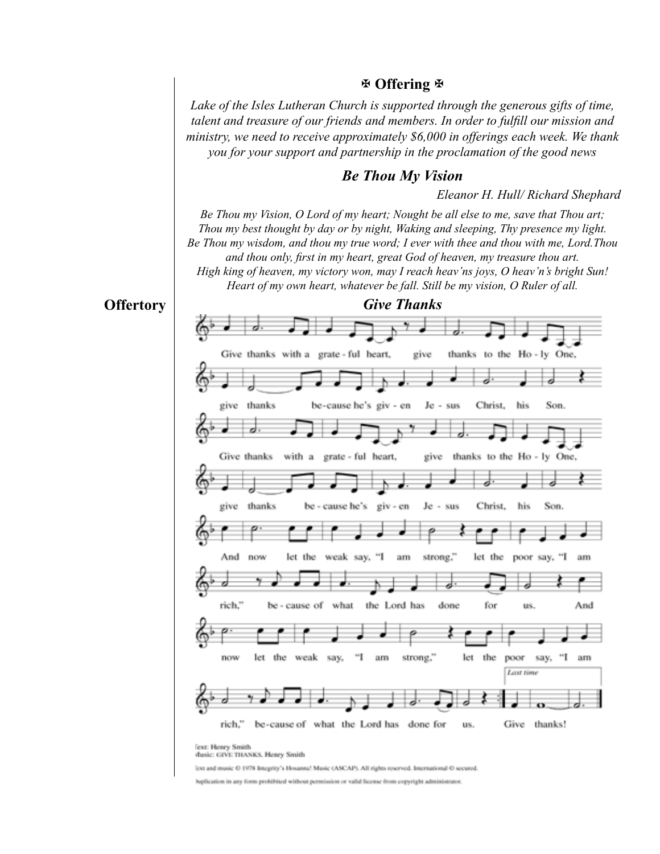#### **Offering**

*Lake of the Isles Lutheran Church is supported through the generous gifts of time, talent and treasure of our friends and members. In order to fulfill our mission and ministry, we need to receive approximately \$6,000 in offerings each week. We thank you for your support and partnership in the proclamation of the good news*

#### *Be Thou My Vision*

#### *Eleanor H. Hull/ Richard Shephard*

*Be Thou my Vision, O Lord of my heart; Nought be all else to me, save that Thou art; Thou my best thought by day or by night, Waking and sleeping, Thy presence my light. Be Thou my wisdom, and thou my true word; I ever with thee and thou with me, Lord.Thou and thou only, first in my heart, great God of heaven, my treasure thou art. High king of heaven, my victory won, may I reach heav'ns joys, O heav'n's bright Sun! Heart of my own heart, whatever be fall. Still be my vision, O Ruler of all.*



lext and music @ 1978 Integrity's Hosanna! Music (ASCAP). All rights reserved. International @ secured.

Deplication in any form prohibited without permission or valid license from copyright administrator.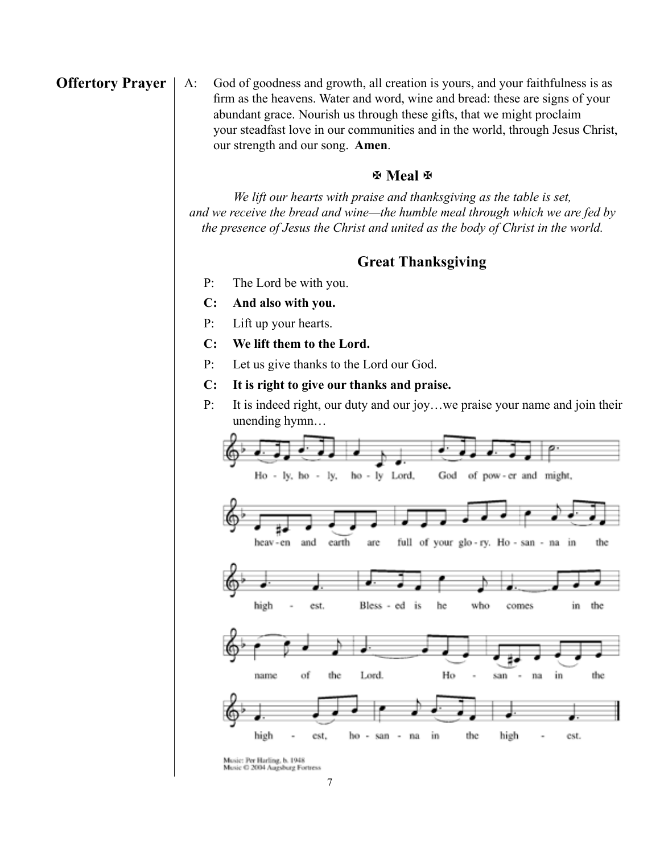**Offertory Prayer** | A: God of goodness and growth, all creation is yours, and your faithfulness is as firm as the heavens. Water and word, wine and bread: these are signs of your abundant grace. Nourish us through these gifts, that we might proclaim your steadfast love in our communities and in the world, through Jesus Christ, our strength and our song. **Amen**.

#### **图 Meal 图**

*We lift our hearts with praise and thanksgiving as the table is set, and we receive the bread and wine—the humble meal through which we are fed by the presence of Jesus the Christ and united as the body of Christ in the world.*

### **Great Thanksgiving**

- P: The Lord be with you.
- **C: And also with you.**
- P: Lift up your hearts.
- **C: We lift them to the Lord.**
- P: Let us give thanks to the Lord our God.
- **C: It is right to give our thanks and praise.**
- P: It is indeed right, our duty and our joy...we praise your name and join their unending hymn…

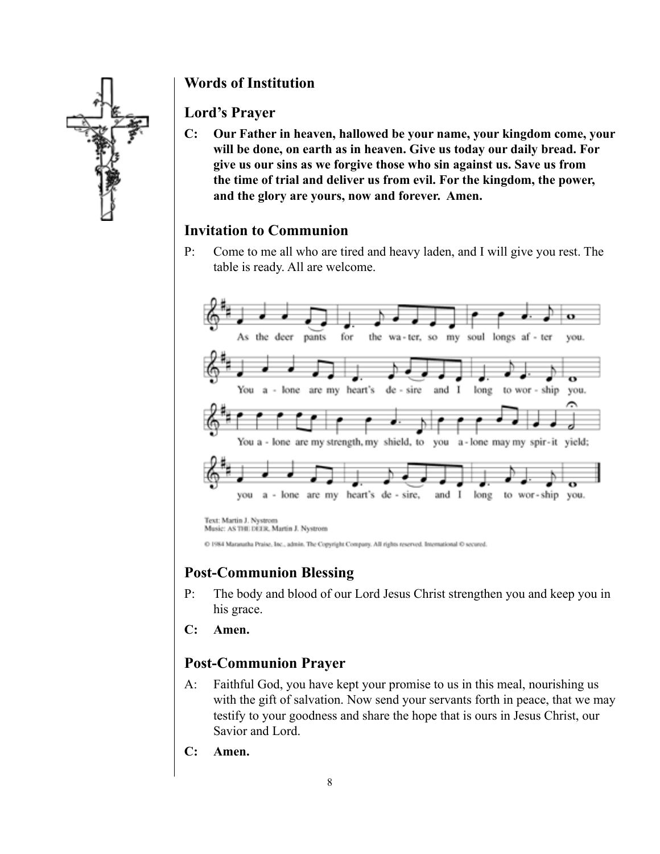

## **Words of Institution**

### **Lord's Prayer**

**C: Our Father in heaven, hallowed be your name, your kingdom come, your will be done, on earth as in heaven. Give us today our daily bread. For give us our sins as we forgive those who sin against us. Save us from the time of trial and deliver us from evil. For the kingdom, the power, and the glory are yours, now and forever. Amen.**

## **Invitation to Communion**

P: Come to me all who are tired and heavy laden, and I will give you rest. The table is ready. All are welcome.



O 1984 Maranatha Praise, Inc., admin. The Copyright Company. All rights reserved. International O secured.

## **Post-Communion Blessing**

- P: The body and blood of our Lord Jesus Christ strengthen you and keep you in his grace.
- **C: Amen.**

## **Post-Communion Prayer**

- A: Faithful God, you have kept your promise to us in this meal, nourishing us with the gift of salvation. Now send your servants forth in peace, that we may testify to your goodness and share the hope that is ours in Jesus Christ, our Savior and Lord.
- **C: Amen.**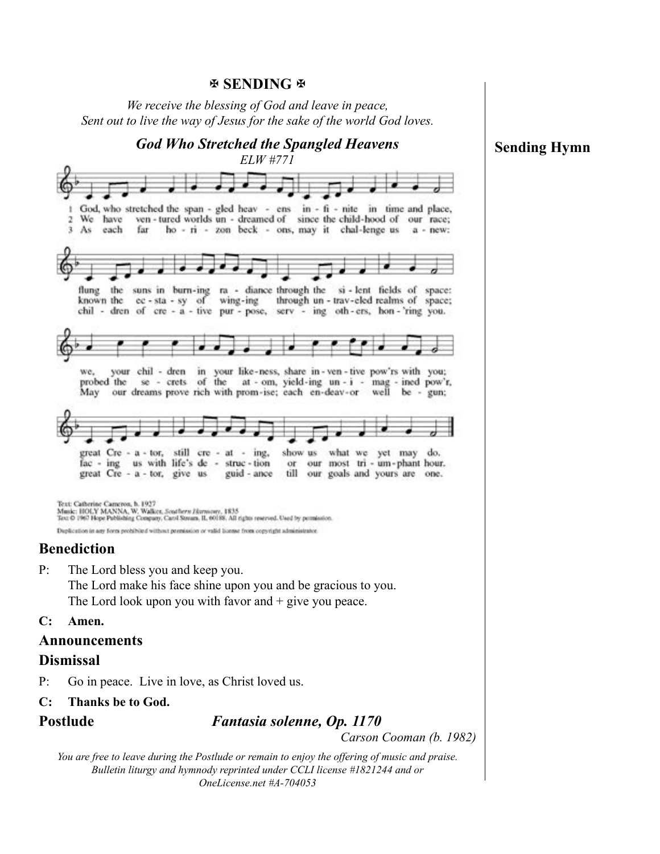#### **图 SENDING 图**

*We receive the blessing of God and leave in peace, Sent out to live the way of Jesus for the sake of the world God loves.*



**Benediction**

P: The Lord bless you and keep you.

## **C: Amen.**

## **Announcements**

## **Dismissal**

- P: Go in peace. Live in love, as Christ loved us.
- **C: Thanks be to God.**

*Bulletin liturgy and hymnody reprinted under CCLI license #1821244 and or OneLicense.net #A-704053*

## **Sending Hymn**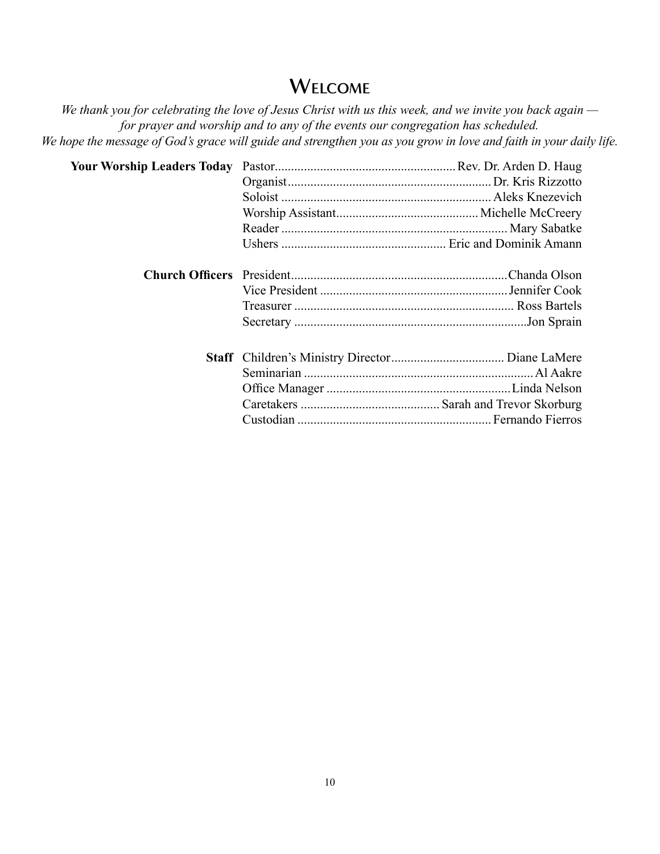# **Welcome**

*We thank you for celebrating the love of Jesus Christ with us this week, and we invite you back again for prayer and worship and to any of the events our congregation has scheduled. We hope the message of God's grace will guide and strengthen you as you grow in love and faith in your daily life.* 

| <b>Your Worship Leaders Today</b> |  |
|-----------------------------------|--|
|                                   |  |
|                                   |  |
|                                   |  |
|                                   |  |
|                                   |  |
|                                   |  |
|                                   |  |
|                                   |  |
|                                   |  |
|                                   |  |
|                                   |  |
|                                   |  |
|                                   |  |
|                                   |  |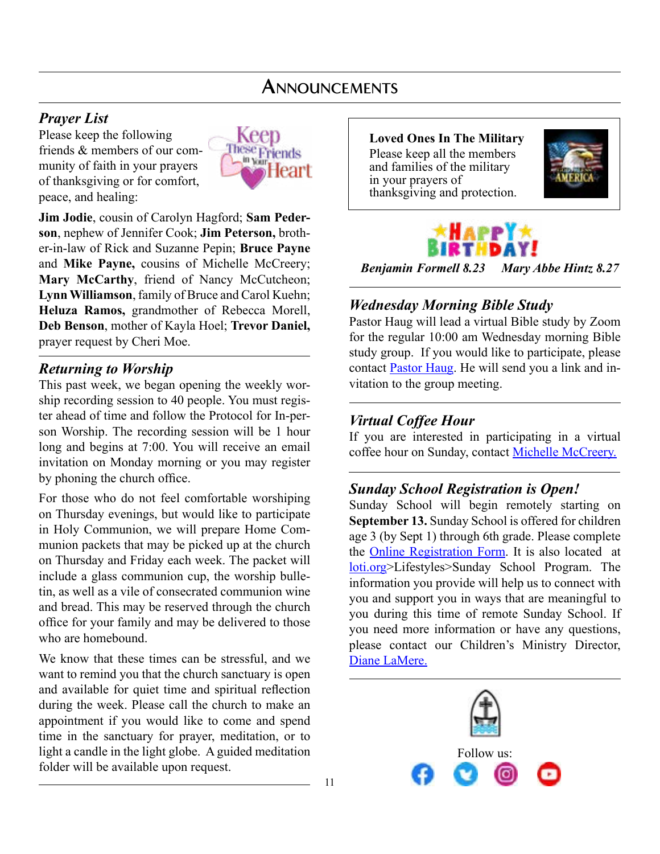## **Announcements**

## *Prayer List*

Please keep the following friends & members of our community of faith in your prayers of thanksgiving or for comfort, peace, and healing:



**Jim Jodie**, cousin of Carolyn Hagford; **Sam Pederson**, nephew of Jennifer Cook; **Jim Peterson,** brother-in-law of Rick and Suzanne Pepin; **Bruce Payne** and **Mike Payne,** cousins of Michelle McCreery; **Mary McCarthy**, friend of Nancy McCutcheon; **Lynn Williamson**, family of Bruce and Carol Kuehn; **Heluza Ramos,** grandmother of Rebecca Morell, **Deb Benson**, mother of Kayla Hoel; **Trevor Daniel,** prayer request by Cheri Moe.

## *Returning to Worship*

This past week, we began opening the weekly worship recording session to 40 people. You must register ahead of time and follow the Protocol for In-person Worship. The recording session will be 1 hour long and begins at 7:00. You will receive an email invitation on Monday morning or you may register by phoning the church office.

For those who do not feel comfortable worshiping on Thursday evenings, but would like to participate in Holy Communion, we will prepare Home Communion packets that may be picked up at the church on Thursday and Friday each week. The packet will include a glass communion cup, the worship bulletin, as well as a vile of consecrated communion wine and bread. This may be reserved through the church office for your family and may be delivered to those who are homebound.

We know that these times can be stressful, and we want to remind you that the church sanctuary is open and available for quiet time and spiritual reflection during the week. Please call the church to make an appointment if you would like to come and spend time in the sanctuary for prayer, meditation, or to light a candle in the light globe. A guided meditation folder will be available upon request.

**Loved Ones In The Military** Please keep all the members and families of the military in your prayers of thanksgiving and protection.





*Benjamin Formell 8.23 Mary Abbe Hintz 8.27*

## *Wednesday Morning Bible Study*

Pastor Haug will lead a virtual Bible study by Zoom for the regular 10:00 am Wednesday morning Bible study group. If you would like to participate, please contact [Pastor Haug.](mailto:pastor%40loti.org?subject=) He will send you a link and invitation to the group meeting.

## *Virtual Coffee Hour*

If you are interested in participating in a virtu[al](mailto:michelle.mccreery%40loti.org%20?subject=Virtual%20Coffee%20Hour) coffee hour on Sunday, contact [Michelle McCreery](mailto:michelle.mccreery%40loti.org?subject=Zoom%20Coffee%20Hour).

## *Sunday School Registration is Open!*

Sunday School will begin remotely starting on **September 13.** Sunday School is offered for children age 3 (by Sept 1) through 6th grade. Please complete the [Online Registration Form.](https://forms.gle/Gq3Rg4A2DQKnhK1b7) It is also located at [loti.org>](http://loti.org)Lifestyles>Sunday School Program. The information you provide will help us to connect with you and support you in ways that are meaningful to you during this time of remote Sunday School. If you need more information or have any questions, please contact our Children's Ministry Director, [Diane LaMere.](mailto:diane.lamere%40loti.org?subject=Sunday%20School%20Fall%202020)